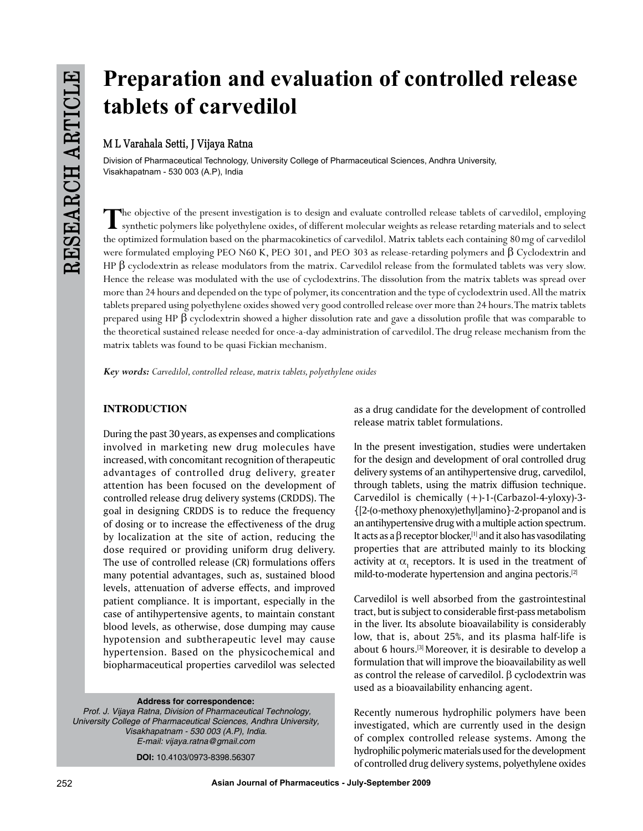# **Preparation and evaluation of controlled release tablets of carvedilol**

## **M L Varahala Setti, J Vijaya Ratna**

Division of Pharmaceutical Technology, University College of Pharmaceutical Sciences, Andhra University, Visakhapatnam - 530 003 (A.P), India

The objective of the present investigation is to design and evaluate controlled release tablets of carvedilol, employing<br>synthetic polymers like polyethylene oxides, of different molecular weights as release retarding mate the optimized formulation based on the pharmacokinetics of carvedilol. Matrix tablets each containing 80mg of carvedilol were formulated employing PEO N60 K, PEO 301, and PEO 303 as release-retarding polymers and β Cyclodextrin and HP  $\beta$  cyclodextrin as release modulators from the matrix. Carvedilol release from the formulated tablets was very slow. Hence the release was modulated with the use of cyclodextrins. The dissolution from the matrix tablets was spread over more than 24 hours and depended on the type of polymer, its concentration and the type of cyclodextrin used. All the matrix tablets prepared using polyethylene oxides showed very good controlled release over more than 24 hours. The matrix tablets prepared using HP β cyclodextrin showed a higher dissolution rate and gave a dissolution profile that was comparable to the theoretical sustained release needed for once-a-day administration of carvedilol. The drug release mechanism from the matrix tablets was found to be quasi Fickian mechanism.

*Key words: Carvedilol, controlled release, matrix tablets, polyethylene oxides*

## **INTRODUCTION**

During the past 30 years, as expenses and complications involved in marketing new drug molecules have increased, with concomitant recognition of therapeutic advantages of controlled drug delivery, greater attention has been focused on the development of controlled release drug delivery systems (CRDDS). The goal in designing CRDDS is to reduce the frequency of dosing or to increase the effectiveness of the drug by localization at the site of action, reducing the dose required or providing uniform drug delivery. The use of controlled release (CR) formulations offers many potential advantages, such as, sustained blood levels, attenuation of adverse effects, and improved patient compliance. It is important, especially in the case of antihypertensive agents, to maintain constant blood levels, as otherwise, dose dumping may cause hypotension and subtherapeutic level may cause hypertension. Based on the physicochemical and biopharmaceutical properties carvedilol was selected

**Address for correspondence:**  *Prof. J. Vijaya Ratna, Division of Pharmaceutical Technology, University College of Pharmaceutical Sciences, Andhra University, Visakhapatnam - 530 003 (A.P), India. E-mail: vijaya.ratna@gmail.com*

**DOI:** 10.4103/0973-8398.56307

as a drug candidate for the development of controlled release matrix tablet formulations.

In the present investigation, studies were undertaken for the design and development of oral controlled drug delivery systems of an antihypertensive drug, carvedilol, through tablets, using the matrix diffusion technique. Carvedilol is chemically (+)-1-(Carbazol-4-yloxy)-3- {[2-(o-methoxy phenoxy)ethyl]amino}-2-propanol and is an antihypertensive drug with a multiple action spectrum. It acts as a  $\beta$  receptor blocker,<sup>[1]</sup> and it also has vasodilating properties that are attributed mainly to its blocking activity at  $\alpha_{_1}$  receptors. It is used in the treatment of mild-to-moderate hypertension and angina pectoris.[2]

Carvedilol is well absorbed from the gastrointestinal tract, but is subject to considerable first-pass metabolism in the liver. Its absolute bioavailability is considerably low, that is, about 25%, and its plasma half-life is about 6 hours.[3] Moreover, it is desirable to develop a formulation that will improve the bioavailability as well as control the release of carvedilol.  $β$  cyclodextrin was used as a bioavailability enhancing agent.

Recently numerous hydrophilic polymers have been investigated, which are currently used in the design of complex controlled release systems. Among the hydrophilic polymeric materials used for the development of controlled drug delivery systems, polyethylene oxides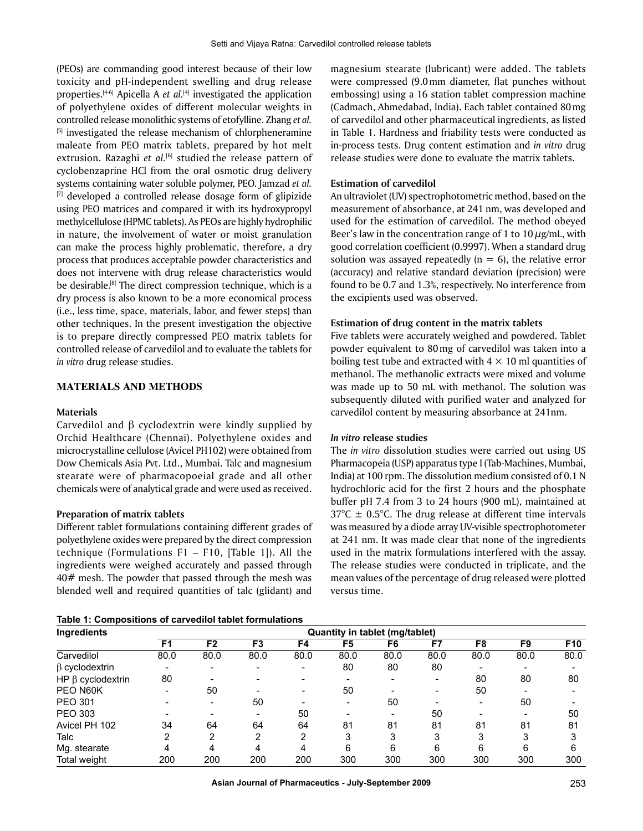(PEOs) are commanding good interest because of their low toxicity and pH-independent swelling and drug release properties.[4-6] Apicella A *et al.*[4] investigated the application of polyethylene oxides of different molecular weights in controlled release monolithic systems of etofylline. Zhang *et al.* <sup>[5]</sup> investigated the release mechanism of chlorpheneramine maleate from PEO matrix tablets, prepared by hot melt extrusion. Razaghi *et al.*<sup>[6]</sup> studied the release pattern of cyclobenzaprine HCl from the oral osmotic drug delivery systems containing water soluble polymer, PEO. Jamzad *et al.*  $[7]$  developed a controlled release dosage form of glipizide using PEO matrices and compared it with its hydroxypropyl methylcellulose (HPMC tablets). As PEOs are highly hydrophilic in nature, the involvement of water or moist granulation can make the process highly problematic, therefore, a dry process that produces acceptable powder characteristics and does not intervene with drug release characteristics would be desirable.<sup>[8]</sup> The direct compression technique, which is a dry process is also known to be a more economical process (i.e., less time, space, materials, labor, and fewer steps) than other techniques. In the present investigation the objective is to prepare directly compressed PEO matrix tablets for controlled release of carvedilol and to evaluate the tablets for *in vitro* drug release studies.

## **MATERIALS AND METHODS**

#### **Materials**

Carvedilol and β cyclodextrin were kindly supplied by Orchid Healthcare (Chennai). Polyethylene oxides and microcrystalline cellulose (Avicel PH102) were obtained from Dow Chemicals Asia Pvt. Ltd., Mumbai. Talc and magnesium stearate were of pharmacopoeial grade and all other chemicals were of analytical grade and were used as received.

#### **Preparation of matrix tablets**

Different tablet formulations containing different grades of polyethylene oxides were prepared by the direct compression technique (Formulations F1 – F10, [Table 1]). All the ingredients were weighed accurately and passed through 40# mesh. The powder that passed through the mesh was blended well and required quantities of talc (glidant) and

**Table 1: Compositions of carvedilol tablet formulations**

magnesium stearate (lubricant) were added. The tablets were compressed (9.0mm diameter, flat punches without embossing) using a 16 station tablet compression machine (Cadmach, Ahmedabad, India). Each tablet contained 80mg of carvedilol and other pharmaceutical ingredients, as listed in Table 1. Hardness and friability tests were conducted as in-process tests. Drug content estimation and *in vitro* drug release studies were done to evaluate the matrix tablets.

#### **Estimation of carvedilol**

An ultraviolet (UV) spectrophotometric method, based on the measurement of absorbance, at 241 nm, was developed and used for the estimation of carvedilol. The method obeyed Beer's law in the concentration range of 1 to  $10 \mu$ g/mL, with good correlation coefficient (0.9997). When a standard drug solution was assayed repeatedly ( $n = 6$ ), the relative error (accuracy) and relative standard deviation (precision) were found to be 0.7 and 1.3%, respectively. No interference from the excipients used was observed.

#### **Estimation of drug content in the matrix tablets**

Five tablets were accurately weighed and powdered. Tablet powder equivalent to 80mg of carvedilol was taken into a boiling test tube and extracted with  $4 \times 10$  ml quantities of methanol. The methanolic extracts were mixed and volume was made up to 50 mL with methanol. The solution was subsequently diluted with purified water and analyzed for carvedilol content by measuring absorbance at 241nm.

#### *In vitro* **release studies**

The *in vitro* dissolution studies were carried out using US Pharmacopeia (USP) apparatus type I (Tab-Machines, Mumbai, India) at 100 rpm. The dissolution medium consisted of 0.1 N hydrochloric acid for the first 2 hours and the phosphate buffer pH 7.4 from 3 to 24 hours (900 mL), maintained at  $37^{\circ}$ C  $\pm$  0.5°C. The drug release at different time intervals was measured by a diode array UV-visible spectrophotometer at 241 nm. It was made clear that none of the ingredients used in the matrix formulations interfered with the assay. The release studies were conducted in triplicate, and the mean values of the percentage of drug released were plotted versus time.

| Ingredients             | <b>Quantity in tablet (mg/tablet)</b> |                |                          |      |      |      |      |      |      |                 |  |
|-------------------------|---------------------------------------|----------------|--------------------------|------|------|------|------|------|------|-----------------|--|
|                         | F <sub>1</sub>                        | F <sub>2</sub> | F3                       | F4   | F5   | F6   | F7   | F8   | F9   | F <sub>10</sub> |  |
| Carvedilol              | 80.0                                  | 80.0           | 80.0                     | 80.0 | 80.0 | 80.0 | 80.0 | 80.0 | 80.0 | 80.0            |  |
| $\beta$ cyclodextrin    |                                       |                | $\overline{\phantom{a}}$ |      | 80   | 80   | 80   |      |      |                 |  |
| HP $\beta$ cyclodextrin | 80                                    |                |                          |      |      |      |      | 80   | 80   | 80              |  |
| PEO N60K                |                                       | 50             |                          |      | 50   |      |      | 50   |      |                 |  |
| <b>PEO 301</b>          |                                       |                | 50                       |      |      | 50   |      |      | 50   |                 |  |
| PEO 303                 |                                       |                | $\overline{\phantom{0}}$ | 50   |      |      | 50   |      |      | 50              |  |
| Avicel PH 102           | 34                                    | 64             | 64                       | 64   | 81   | 81   | 81   | 81   | 81   | 81              |  |
| Talc                    |                                       | 2              | 2                        | 2    | 3    |      | 3    | 3    | 3    |                 |  |
| Mg. stearate            | 4                                     | 4              | 4                        | 4    | 6    | 6    | 6    | 6    | 6    | 6               |  |
| Total weight            | 200                                   | 200            | 200                      | 200  | 300  | 300  | 300  | 300  | 300  | 300             |  |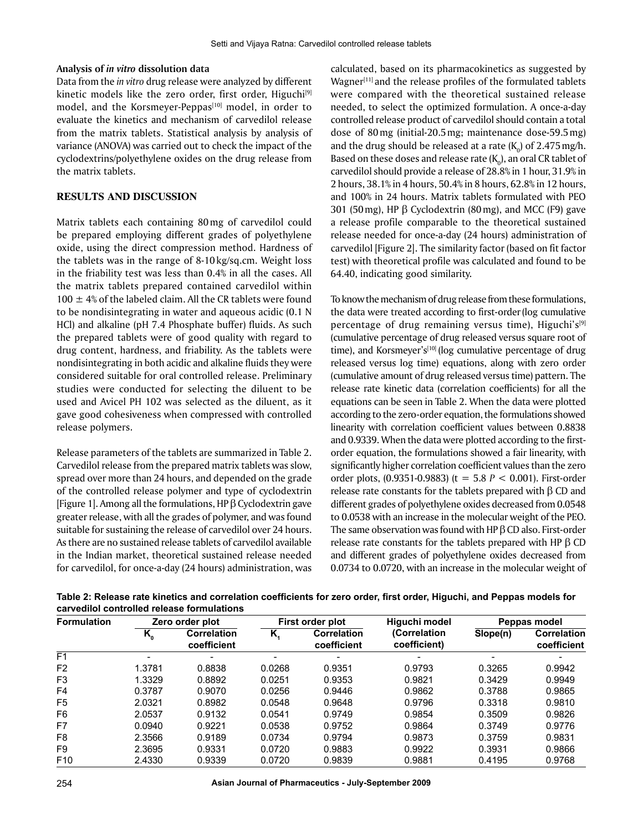#### **Analysis of** *in vitro* **dissolution data**

Data from the *in vitro* drug release were analyzed by different kinetic models like the zero order, first order, Higuchi $[9]$ model, and the Korsmeyer-Peppas<sup>[10]</sup> model, in order to evaluate the kinetics and mechanism of carvedilol release from the matrix tablets. Statistical analysis by analysis of variance (ANOVA) was carried out to check the impact of the cyclodextrins/polyethylene oxides on the drug release from the matrix tablets.

### **RESULTS AND DISCUSSION**

Matrix tablets each containing 80mg of carvedilol could be prepared employing different grades of polyethylene oxide, using the direct compression method. Hardness of the tablets was in the range of 8-10 kg/sq.cm. Weight loss in the friability test was less than 0.4% in all the cases. All the matrix tablets prepared contained carvedilol within  $100 \pm 4\%$  of the labeled claim. All the CR tablets were found to be nondisintegrating in water and aqueous acidic (0.1 N HCl) and alkaline (pH 7.4 Phosphate buffer) fluids. As such the prepared tablets were of good quality with regard to drug content, hardness, and friability. As the tablets were nondisintegrating in both acidic and alkaline fluids they were considered suitable for oral controlled release. Preliminary studies were conducted for selecting the diluent to be used and Avicel PH 102 was selected as the diluent, as it gave good cohesiveness when compressed with controlled release polymers.

Release parameters of the tablets are summarized in Table 2. Carvedilol release from the prepared matrix tablets was slow, spread over more than 24 hours, and depended on the grade of the controlled release polymer and type of cyclodextrin [Figure 1]. Among all the formulations, HP β Cyclodextrin gave greater release, with all the grades of polymer, and was found suitable for sustaining the release of carvedilol over 24 hours. As there are no sustained release tablets of carvedilol available in the Indian market, theoretical sustained release needed for carvedilol, for once-a-day (24 hours) administration, was calculated, based on its pharmacokinetics as suggested by Wagner $[11]$  and the release profiles of the formulated tablets were compared with the theoretical sustained release needed, to select the optimized formulation. A once-a-day controlled release product of carvedilol should contain a total dose of 80mg (initial-20.5mg; maintenance dose-59.5mg) and the drug should be released at a rate (K $_{\rm o}$ ) of 2.475 mg/h. Based on these doses and release rate ( $\mathrm{K}_0$ ), an oral CR tablet of carvedilol should provide a release of 28.8% in 1 hour, 31.9% in 2 hours, 38.1% in 4 hours, 50.4% in 8 hours, 62.8% in 12 hours, and 100% in 24 hours. Matrix tablets formulated with PEO 301 (50 mg), HP  $\beta$  Cyclodextrin (80 mg), and MCC (F9) gave a release profile comparable to the theoretical sustained release needed for once-a-day (24 hours) administration of carvedilol [Figure 2]. The similarity factor (based on fit factor test) with theoretical profile was calculated and found to be 64.40, indicating good similarity.

To know the mechanism of drug release from these formulations, the data were treated according to first-order(log cumulative percentage of drug remaining versus time), Higuchi's<sup>[9]</sup> (cumulative percentage of drug released versus square root of time), and Korsmeyer's<sup>[10]</sup> (log cumulative percentage of drug released versus log time) equations, along with zero order (cumulative amount of drug released versus time) pattern. The release rate kinetic data (correlation coefficients) for all the equations can be seen in Table 2. When the data were plotted according to the zero-order equation, the formulations showed linearity with correlation coefficient values between 0.8838 and 0.9339. When the data were plotted according to the firstorder equation, the formulations showed a fair linearity, with significantly higher correlation coefficient values than the zero order plots, (0.9351-0.9883) (t = 5.8 *P* < 0.001). First-order release rate constants for the tablets prepared with  $β$  CD and different grades of polyethylene oxides decreased from 0.0548 to 0.0538 with an increase in the molecular weight of the PEO. The same observation was found with HP  $\beta$  CD also. First-order release rate constants for the tablets prepared with HP β CD and different grades of polyethylene oxides decreased from 0.0734 to 0.0720, with an increase in the molecular weight of

| <b>Formulation</b> | Zero order plot            |                            |        | First order plot           | Higuchi model                | Peppas model |                                   |
|--------------------|----------------------------|----------------------------|--------|----------------------------|------------------------------|--------------|-----------------------------------|
|                    | $K_{\scriptscriptstyle 0}$ | Correlation<br>coefficient | K.     | Correlation<br>coefficient | (Correlation<br>coefficient) | Slope(n)     | <b>Correlation</b><br>coefficient |
| F <sub>1</sub>     |                            |                            |        |                            |                              |              |                                   |
| F <sub>2</sub>     | 1.3781                     | 0.8838                     | 0.0268 | 0.9351                     | 0.9793                       | 0.3265       | 0.9942                            |
| F3                 | 1.3329                     | 0.8892                     | 0.0251 | 0.9353                     | 0.9821                       | 0.3429       | 0.9949                            |
| F4                 | 0.3787                     | 0.9070                     | 0.0256 | 0.9446                     | 0.9862                       | 0.3788       | 0.9865                            |
| F <sub>5</sub>     | 2.0321                     | 0.8982                     | 0.0548 | 0.9648                     | 0.9796                       | 0.3318       | 0.9810                            |
| F6                 | 2.0537                     | 0.9132                     | 0.0541 | 0.9749                     | 0.9854                       | 0.3509       | 0.9826                            |
| F7                 | 0.0940                     | 0.9221                     | 0.0538 | 0.9752                     | 0.9864                       | 0.3749       | 0.9776                            |
| F <sub>8</sub>     | 2.3566                     | 0.9189                     | 0.0734 | 0.9794                     | 0.9873                       | 0.3759       | 0.9831                            |
| F <sub>9</sub>     | 2.3695                     | 0.9331                     | 0.0720 | 0.9883                     | 0.9922                       | 0.3931       | 0.9866                            |
| F <sub>10</sub>    | 2.4330                     | 0.9339                     | 0.0720 | 0.9839                     | 0.9881                       | 0.4195       | 0.9768                            |

**Table 2: Release rate kinetics and correlation coefficients for zero order, first order, Higuchi, and Peppas models for carvedilol controlled release formulations**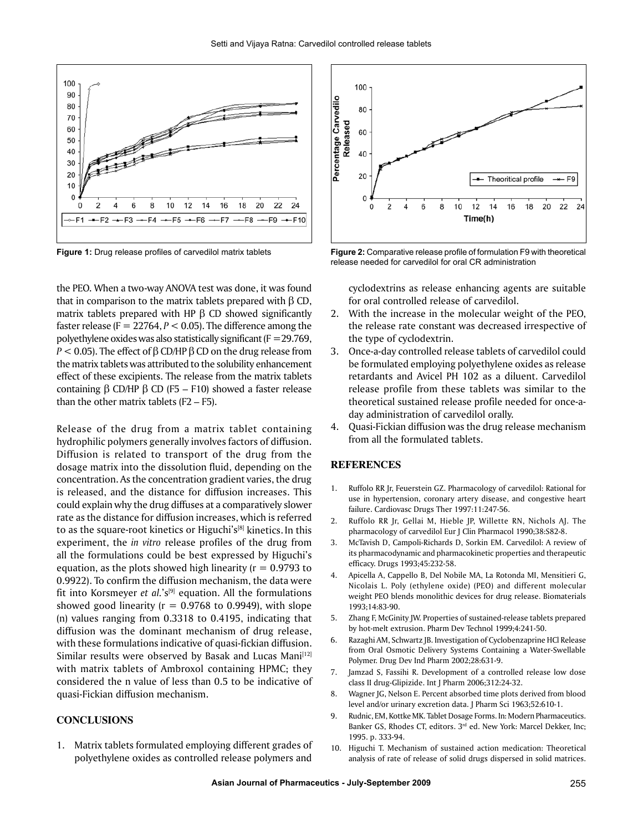

the PEO. When a two-way ANOVA test was done, it was found that in comparison to the matrix tablets prepared with  $β$  CD, matrix tablets prepared with HP  $β$  CD showed significantly faster release ( $F = 22764$ ,  $P < 0.05$ ). The difference among the polyethylene oxides was also statistically significant ( $F = 29.769$ , *P* < 0.05). The effect of β CD/HP β CD on the drug release from the matrix tablets was attributed to the solubility enhancement effect of these excipients. The release from the matrix tablets containing  $β$  CD/HP  $β$  CD (F5 – F10) showed a faster release than the other matrix tablets  $(F2 - F5)$ .

Release of the drug from a matrix tablet containing hydrophilic polymers generally involves factors of diffusion. Diffusion is related to transport of the drug from the dosage matrix into the dissolution fluid, depending on the concentration. As the concentration gradient varies, the drug is released, and the distance for diffusion increases. This could explain why the drug diffuses at a comparatively slower rate as the distance for diffusion increases, which is referred to as the square-root kinetics or Higuchi's[8] kinetics. In this experiment, the *in vitro* release profiles of the drug from all the formulations could be best expressed by Higuchi's equation, as the plots showed high linearity  $(r = 0.9793$  to 0.9922). To confirm the diffusion mechanism, the data were fit into Korsmeyer *et al.*'s[9] equation. All the formulations showed good linearity ( $r = 0.9768$  to 0.9949), with slope (n) values ranging from 0.3318 to 0.4195, indicating that diffusion was the dominant mechanism of drug release, with these formulations indicative of quasi-fickian diffusion. Similar results were observed by Basak and Lucas Mani<a>[12]</a> with matrix tablets of Ambroxol containing HPMC; they considered the n value of less than 0.5 to be indicative of quasi-Fickian diffusion mechanism.

## **CONCLUSIONS**

1. Matrix tablets formulated employing different grades of polyethylene oxides as controlled release polymers and



**Figure 1:** Drug release profiles of carvedilol matrix tablets **Figure 2:** Comparative release profile of formulation F9 with theoretical release needed for carvedilol for oral CR administration

cyclodextrins as release enhancing agents are suitable for oral controlled release of carvedilol.

- 2. With the increase in the molecular weight of the PEO, the release rate constant was decreased irrespective of the type of cyclodextrin.
- 3. Once-a-day controlled release tablets of carvedilol could be formulated employing polyethylene oxides as release retardants and Avicel PH 102 as a diluent. Carvedilol release profile from these tablets was similar to the theoretical sustained release profile needed for once-aday administration of carvedilol orally.
- 4. Quasi-Fickian diffusion was the drug release mechanism from all the formulated tablets.

#### **REFERENCES**

- 1. Ruffolo RR Jr, Feuerstein GZ. Pharmacology of carvedilol: Rational for use in hypertension, coronary artery disease, and congestive heart failure. Cardiovasc Drugs Ther 1997:11:247-56.
- 2. Ruffolo RR Jr, Gellai M, Hieble JP, Willette RN, Nichols AJ. The pharmacology of carvedilol Eur J Clin Pharmacol 1990;38:S82-8.
- 3. McTavish D, Campoli-Richards D, Sorkin EM. Carvedilol: A review of its pharmacodynamic and pharmacokinetic properties and therapeutic efficacy. Drugs 1993;45:232-58.
- 4. Apicella A, Cappello B, Del Nobile MA, La Rotonda MI, Mensitieri G, Nicolais L. Poly (ethylene oxide) (PEO) and different molecular weight PEO blends monolithic devices for drug release. Biomaterials 1993;14:83-90.
- 5. Zhang F, McGinity JW. Properties of sustained-release tablets prepared by hot-melt extrusion. Pharm Dev Technol 1999;4:241-50.
- 6. Razaghi AM, Schwartz JB. Investigation of Cyclobenzaprine HCl Release from Oral Osmotic Delivery Systems Containing a Water-Swellable Polymer. Drug Dev Ind Pharm 2002;28:631-9.
- 7. Jamzad S, Fassihi R. Development of a controlled release low dose class II drug-Glipizide. Int J Pharm 2006;312:24-32.
- 8. Wagner JG, Nelson E. Percent absorbed time plots derived from blood level and/or urinary excretion data. J Pharm Sci 1963;52:610-1.
- 9. Rudnic, EM, Kottke MK. Tablet Dosage Forms. In: Modern Pharmaceutics. Banker GS, Rhodes CT, editors. 3<sup>rd</sup> ed. New York: Marcel Dekker, Inc; 1995. p. 333-94.
- 10. Higuchi T. Mechanism of sustained action medication: Theoretical analysis of rate of release of solid drugs dispersed in solid matrices.